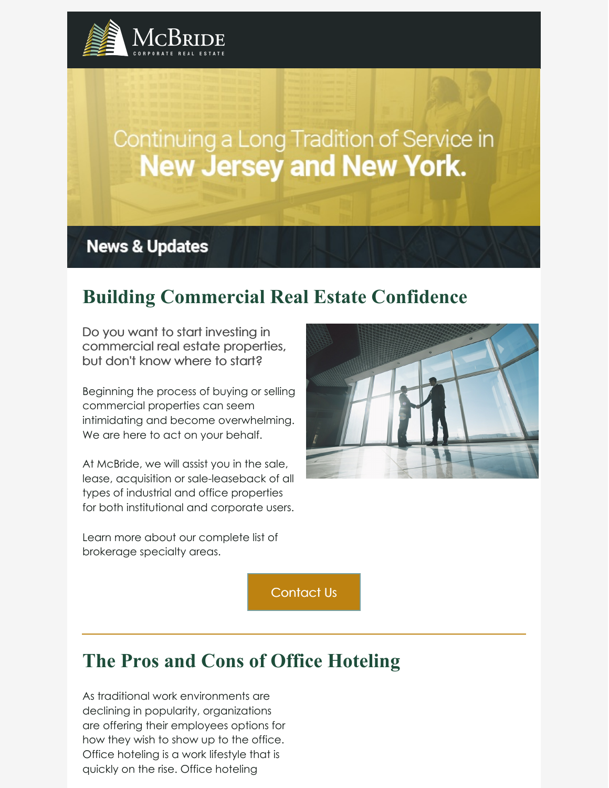

# Continuing a Long Tradition of Service in **New Jersey and New York.**

## **News & Updates**

# **Building Commercial Real Estate Confidence**

Do you want to start investing in commercial real estate properties, but don't know where to start?

Beginning the process of buying or selling commercial properties can seem intimidating and become overwhelming. We are here to act on your behalf.

At McBride, we will assist you in the sale, lease, acquisition or sale-leaseback of all types of industrial and office properties for both institutional and corporate users.

Learn more about our complete list of brokerage specialty areas.

[Contact](https://www.mcbridecorpre.com/brokerage-services/) Us

# **The Pros and Cons of Office Hoteling**

As traditional work environments are declining in popularity, organizations are offering their employees options for how they wish to show up to the office. Office hoteling is a work lifestyle that is quickly on the rise. Office hoteling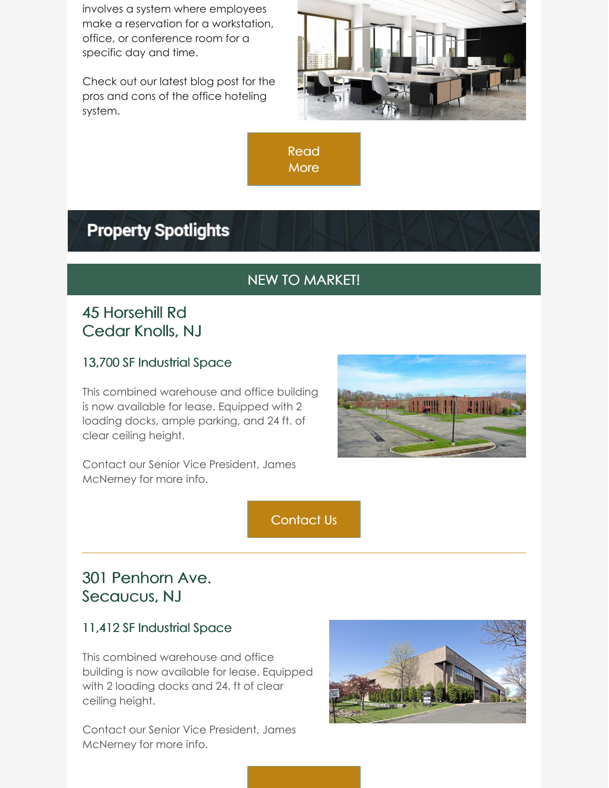involves a system where employees make a reservation for a workstation, office, or conference room for a specific day and time.

Check out our latest blog post for the pros and cons of the office hoteling system.



[Read](https://www.mcbridecorpre.com/the-pros-and-cons-of-hoteling-office-space/) **More** 

# **Property Spotlights**

### NEW TO MARKET!

### 45 Horsehill Rd Cedar Knolls, NJ

#### 13,700 SF Industrial Space

This combined warehouse and office building is now available for lease. Equipped with 2 loading docks, ample parking, and 24 ft. of clear ceiling height.



Contact our Senior Vice President, James McNerney for more info.

[Contact](mailto:mcnerneyj@mcbridecorpre.com) Us

### 301 Penhorn Ave. Secaucus, NJ

#### 11,412 SF Industrial Space

This combined warehouse and office building is now available for lease. Equipped with 2 loading docks and 24. ft of clear ceiling height.

Contact our Senior Vice President, James McNerney for more info.